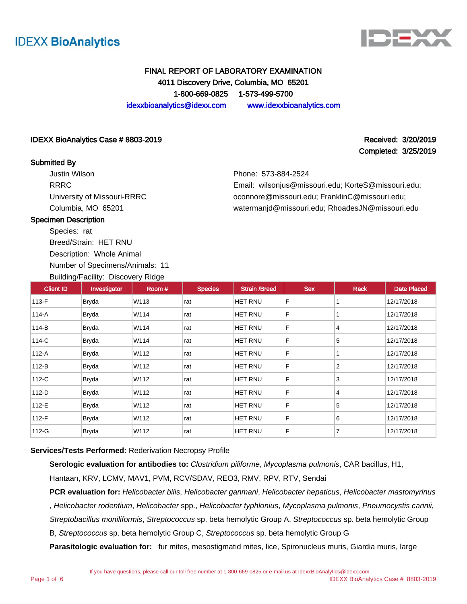



# FINAL REPORT OF LABORATORY EXAMINATION 4011 Discovery Drive, Columbia, MO 65201 1-800-669-0825 1-573-499-5700 idexxbioanalytics@idexx.com www.idexxbioanalytics.com

### IDEXX BioAnalytics Case # 8803-2019 **Received: 3/20/2019** Received: 3/20/2019

### Submitted By

Justin Wilson RRRC University of Missouri-RRRC Columbia, MO 65201

Completed: 3/25/2019

Phone: 573-884-2524

Email: wilsonjus@missouri.edu; KorteS@missouri.edu; oconnore@missouri.edu; FranklinC@missouri.edu; watermanjd@missouri.edu; RhoadesJN@missouri.edu

### Specimen Description

Species: rat

Breed/Strain: HET RNU Description: Whole Animal Number of Specimens/Animals: 11

Building/Facility: Discovery Ridge

| <b>Client ID</b> | Investigator | Room# | <b>Species</b> | <b>Strain /Breed</b> | <b>Sex</b> | <b>Rack</b>    | <b>Date Placed</b> |
|------------------|--------------|-------|----------------|----------------------|------------|----------------|--------------------|
| $113-F$          | <b>Bryda</b> | W113  | rat            | <b>HET RNU</b>       | F          |                | 12/17/2018         |
| 114-A            | Bryda        | W114  | rat            | <b>HET RNU</b>       | F          |                | 12/17/2018         |
| 114-B            | <b>Bryda</b> | W114  | rat            | <b>HET RNU</b>       | F          | 4              | 12/17/2018         |
| 114-C            | <b>Bryda</b> | W114  | rat            | <b>HET RNU</b>       | F          | 5              | 12/17/2018         |
| $112-A$          | Bryda        | W112  | rat            | <b>HET RNU</b>       | F          |                | 12/17/2018         |
| $112-B$          | <b>Bryda</b> | W112  | rat            | HET RNU              | F          | $\overline{2}$ | 12/17/2018         |
| 112-C            | Bryda        | W112  | rat            | <b>HET RNU</b>       | F          | 3              | 12/17/2018         |
| $112-D$          | Bryda        | W112  | rat            | <b>HET RNU</b>       | F          | $\overline{4}$ | 12/17/2018         |
| 112-E            | <b>Bryda</b> | W112  | rat            | HET RNU              | F          | 5              | 12/17/2018         |
| 112-F            | Bryda        | W112  | rat            | <b>HET RNU</b>       | F          | 6              | 12/17/2018         |
| 112-G            | <b>Bryda</b> | W112  | rat            | HET RNU              | F          | $\overline{7}$ | 12/17/2018         |

#### **Services/Tests Performed:** Rederivation Necropsy Profile

**Serologic evaluation for antibodies to:** Clostridium piliforme, Mycoplasma pulmonis, CAR bacillus, H1, Hantaan, KRV, LCMV, MAV1, PVM, RCV/SDAV, REO3, RMV, RPV, RTV, Sendai

**PCR evaluation for:** Helicobacter bilis, Helicobacter ganmani, Helicobacter hepaticus, Helicobacter mastomyrinus , Helicobacter rodentium, Helicobacter spp., Helicobacter typhlonius, Mycoplasma pulmonis, Pneumocystis carinii, Streptobacillus moniliformis, Streptococcus sp. beta hemolytic Group A, Streptococcus sp. beta hemolytic Group

B, Streptococcus sp. beta hemolytic Group C, Streptococcus sp. beta hemolytic Group G

**Parasitologic evaluation for:** fur mites, mesostigmatid mites, lice, Spironucleus muris, Giardia muris, large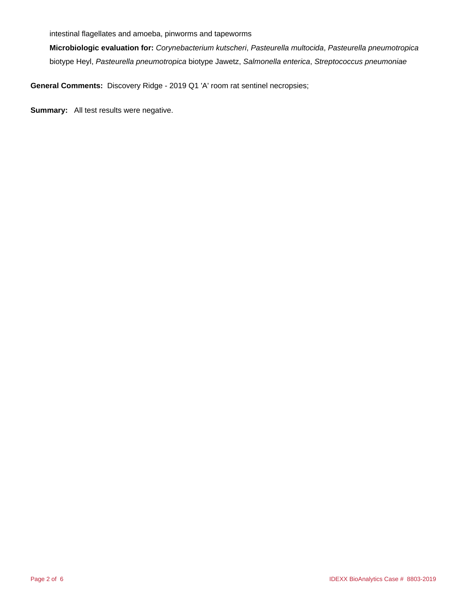intestinal flagellates and amoeba, pinworms and tapeworms

**Microbiologic evaluation for:** Corynebacterium kutscheri, Pasteurella multocida, Pasteurella pneumotropica biotype Heyl, Pasteurella pneumotropica biotype Jawetz, Salmonella enterica, Streptococcus pneumoniae

**General Comments:** Discovery Ridge - 2019 Q1 'A' room rat sentinel necropsies;

**Summary:** All test results were negative.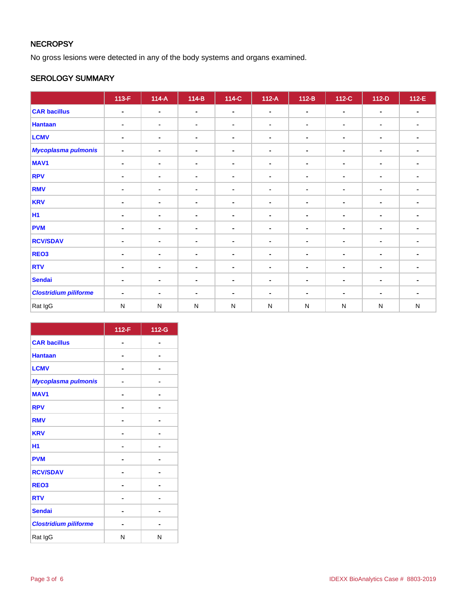# **NECROPSY**

No gross lesions were detected in any of the body systems and organs examined.

# SEROLOGY SUMMARY

|                              | $113-F$        | $114-A$        | $114-B$        | $114-C$        | $112-A$        | $112-B$        | 112-C          | $112-D$        | $112-E$        |
|------------------------------|----------------|----------------|----------------|----------------|----------------|----------------|----------------|----------------|----------------|
| <b>CAR bacillus</b>          | $\blacksquare$ | $\blacksquare$ | $\blacksquare$ | $\blacksquare$ | $\blacksquare$ | $\blacksquare$ | $\blacksquare$ | $\blacksquare$ | $\blacksquare$ |
| <b>Hantaan</b>               | $\blacksquare$ | $\blacksquare$ | $\blacksquare$ | $\blacksquare$ | $\blacksquare$ | $\blacksquare$ | ۰              | $\blacksquare$ | $\blacksquare$ |
| <b>LCMV</b>                  | $\blacksquare$ | $\blacksquare$ | $\blacksquare$ | $\blacksquare$ | $\blacksquare$ | $\blacksquare$ | $\blacksquare$ | $\blacksquare$ | $\blacksquare$ |
| <b>Mycoplasma pulmonis</b>   | $\blacksquare$ | $\blacksquare$ | $\blacksquare$ | $\blacksquare$ | $\blacksquare$ | $\blacksquare$ | $\blacksquare$ | $\blacksquare$ | $\blacksquare$ |
| MAV <sub>1</sub>             | $\blacksquare$ | $\blacksquare$ | $\blacksquare$ | $\blacksquare$ | $\blacksquare$ | $\blacksquare$ | $\blacksquare$ | $\blacksquare$ |                |
| <b>RPV</b>                   | $\blacksquare$ | $\blacksquare$ | $\blacksquare$ | $\blacksquare$ | ۰              | $\blacksquare$ | ۰              | $\blacksquare$ | $\blacksquare$ |
| <b>RMV</b>                   | $\blacksquare$ | $\blacksquare$ | $\blacksquare$ | $\blacksquare$ | ٠              | $\blacksquare$ | ٠              | $\blacksquare$ | $\blacksquare$ |
| <b>KRV</b>                   | $\blacksquare$ | $\blacksquare$ | $\blacksquare$ | $\blacksquare$ | $\blacksquare$ | $\blacksquare$ | $\blacksquare$ | $\blacksquare$ | $\blacksquare$ |
| <b>H1</b>                    | ۰              | $\blacksquare$ | $\blacksquare$ | $\blacksquare$ |                | $\blacksquare$ | $\blacksquare$ | $\blacksquare$ | $\blacksquare$ |
| <b>PVM</b>                   | $\blacksquare$ | $\blacksquare$ | $\blacksquare$ | $\blacksquare$ | $\blacksquare$ | $\blacksquare$ | $\blacksquare$ | $\blacksquare$ |                |
| <b>RCV/SDAV</b>              | $\blacksquare$ | $\blacksquare$ | $\blacksquare$ | $\blacksquare$ | ٠              | $\blacksquare$ | $\blacksquare$ | $\blacksquare$ | $\blacksquare$ |
| REO <sub>3</sub>             | $\blacksquare$ | $\blacksquare$ | $\blacksquare$ | $\blacksquare$ | ۰              | $\blacksquare$ | ۰              | $\blacksquare$ | $\blacksquare$ |
| <b>RTV</b>                   | $\blacksquare$ | $\blacksquare$ | $\blacksquare$ | $\blacksquare$ | $\blacksquare$ | $\blacksquare$ | $\blacksquare$ | $\blacksquare$ |                |
| <b>Sendai</b>                | ۰              | $\blacksquare$ | $\blacksquare$ | $\blacksquare$ | $\blacksquare$ | $\blacksquare$ | $\blacksquare$ | ۰              | $\blacksquare$ |
| <b>Clostridium piliforme</b> | $\blacksquare$ | $\blacksquare$ | $\blacksquare$ | $\blacksquare$ | ۰              | $\blacksquare$ | $\blacksquare$ | $\blacksquare$ | $\blacksquare$ |
| Rat IgG                      | $\mathsf{N}$   | ${\sf N}$      | $\mathsf{N}$   | ${\sf N}$      | ${\sf N}$      | ${\sf N}$      | ${\sf N}$      | ${\sf N}$      | ${\sf N}$      |

|                              | 112-F | 112-G |
|------------------------------|-------|-------|
| <b>CAR bacillus</b>          |       |       |
| <b>Hantaan</b>               |       |       |
| <b>LCMV</b>                  |       |       |
| Mycoplasma pulmonis          |       |       |
| <b>MAV1</b>                  |       |       |
| <b>RPV</b>                   |       |       |
| <b>RMV</b>                   |       |       |
| <b>KRV</b>                   |       |       |
| H1                           |       |       |
| <b>PVM</b>                   |       |       |
| <b>RCV/SDAV</b>              |       |       |
| REO <sub>3</sub>             |       |       |
| <b>RTV</b>                   |       |       |
| <b>Sendai</b>                |       |       |
| <b>Clostridium piliforme</b> |       |       |
| Rat IgG                      | N     | N     |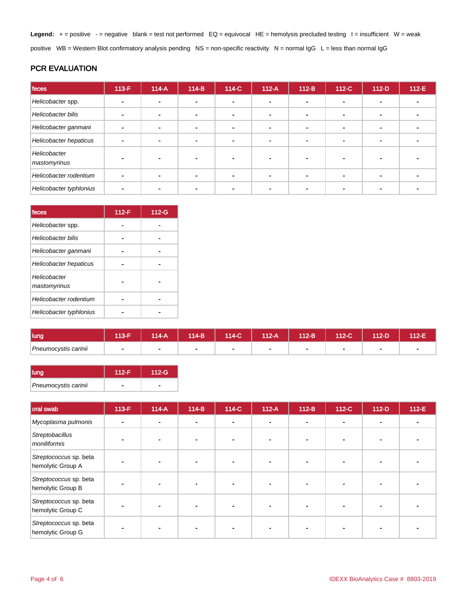Legend: + = positive - = negative blank = test not performed EQ = equivocal HE = hemolysis precluded testing I = insufficient W = weak positive WB = Western Blot confirmatory analysis pending NS = non-specific reactivity N = normal IgG L = less than normal IgG

# PCR EVALUATION

| feces                        | $113-F$ | $114-A$ | $114-B$        | 114-C          | $112-A$ | $112-B$ | $112-C$ | $112-D$        | $112-E$ |
|------------------------------|---------|---------|----------------|----------------|---------|---------|---------|----------------|---------|
| Helicobacter spp.            |         |         | -              |                |         |         |         |                |         |
| Helicobacter bilis           |         |         | -              | ۰.             |         |         | ۰       |                |         |
| Helicobacter ganmani         |         |         | $\blacksquare$ | $\blacksquare$ |         |         |         | $\blacksquare$ |         |
| Helicobacter hepaticus       |         |         |                | ۰              |         |         |         |                |         |
| Helicobacter<br>mastomyrinus |         |         |                |                |         |         |         |                |         |
| Helicobacter rodentium       |         |         |                | $\blacksquare$ |         |         |         | $\blacksquare$ |         |
| Helicobacter typhlonius      |         |         |                |                |         |         |         |                |         |

| feces                        | $112-F$ | 112-G |
|------------------------------|---------|-------|
| Helicobacter spp.            |         |       |
| <b>Helicobacter bilis</b>    |         |       |
| Helicobacter ganmani         |         |       |
| Helicobacter hepaticus       |         |       |
| Helicobacter<br>mastomyrinus |         |       |
| Helicobacter rodentium       |         |       |
| Helicobacter typhlonius      |         |       |

| lung                 | 40E | $14-A$ | $114-B$ | 114-C | $112-A$ | 112-B | 112-C | $12-D$ | 112-E |
|----------------------|-----|--------|---------|-------|---------|-------|-------|--------|-------|
| Pneumocystis carinii |     |        |         |       | ۰       |       |       |        |       |

| llung                | $112-F$ | $112-G$ |
|----------------------|---------|---------|
| Pneumocystis carinii |         |         |

| oral swab                                   | 113-F | $114-A$ | $114-B$ | 114-C                    | $112-A$ | $112-B$        | $112-C$ | $112-D$                  | 112-E |
|---------------------------------------------|-------|---------|---------|--------------------------|---------|----------------|---------|--------------------------|-------|
| Mycoplasma pulmonis                         |       |         | $\sim$  | $\overline{\phantom{a}}$ |         | $\blacksquare$ |         | $\overline{\phantom{a}}$ |       |
| Streptobacillus<br>moniliformis             |       |         |         |                          |         |                |         |                          |       |
| Streptococcus sp. beta<br>hemolytic Group A |       |         |         |                          |         |                |         |                          |       |
| Streptococcus sp. beta<br>hemolytic Group B |       |         |         |                          |         |                |         |                          |       |
| Streptococcus sp. beta<br>hemolytic Group C |       |         |         |                          |         |                |         |                          |       |
| Streptococcus sp. beta<br>hemolytic Group G |       |         |         |                          |         |                |         |                          |       |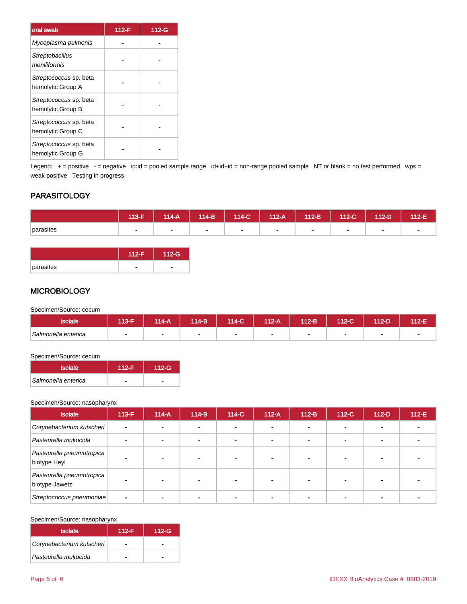| oral swab                                   | 112-F | 112-G |
|---------------------------------------------|-------|-------|
| Mycoplasma pulmonis                         |       |       |
| Streptobacillus<br>moniliformis             |       |       |
| Streptococcus sp. beta<br>hemolytic Group A |       |       |
| Streptococcus sp. beta<br>hemolytic Group B |       |       |
| Streptococcus sp. beta<br>hemolytic Group C |       |       |
| Streptococcus sp. beta<br>hemolytic Group G |       |       |

Legend: + = positive - = negative id:id = pooled sample range id+id+id = non-range pooled sample NT or blank = no test performed wps = weak positive Testing in progress

# **PARASITOLOGY**

|           | 113-F | 114-A | $114-B$ | 114-C | $112-A$ | $112-B$ | 112-C                    | 112-D | $112-E$ |
|-----------|-------|-------|---------|-------|---------|---------|--------------------------|-------|---------|
| parasites |       |       |         |       | . .     |         | $\overline{\phantom{a}}$ |       |         |

|           | -G |
|-----------|----|
| parasites |    |

### **MICROBIOLOGY**

Specimen/Source: cecum

| <b>Isolate</b>      | $13-F$ | 114-A | 114-B' | 114-C | 112-A | 112-B | 112-C | 112-D | $12-E$ |
|---------------------|--------|-------|--------|-------|-------|-------|-------|-------|--------|
| Salmonella enterica |        |       |        |       |       |       |       |       |        |

#### Specimen/Source: cecum

| <b>Isolate</b>      | $112-F$ | $112-G$ |
|---------------------|---------|---------|
| Salmonella enterica |         |         |

#### Specimen/Source: nasopharynx

| <b>Isolate</b>                              | $113-F$        | $114-A$ | $114-B$ | 114-C | $112-A$ | $112-B$ | 112-C | $112-D$ | $112-E$ |
|---------------------------------------------|----------------|---------|---------|-------|---------|---------|-------|---------|---------|
| Corynebacterium kutscheri                   | $\overline{a}$ |         |         |       |         |         |       |         |         |
| Pasteurella multocida                       |                |         |         |       |         |         |       |         |         |
| Pasteurella pneumotropica<br>biotype Heyl   |                |         |         |       |         |         |       |         |         |
| Pasteurella pneumotropica<br>biotype Jawetz |                |         |         |       |         |         |       |         |         |
| Streptococcus pneumoniae                    |                |         |         |       |         |         |       |         |         |

#### Specimen/Source: nasopharynx

| Isolate                   | $112-F$ | $112-G$ |
|---------------------------|---------|---------|
| Corynebacterium kutscheri |         |         |
| Pasteurella multocida     |         |         |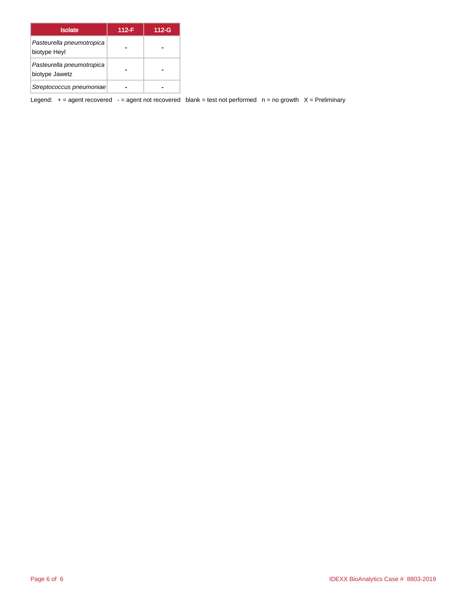| <b>Isolate</b>                              | $112-F$ | 112-G |
|---------------------------------------------|---------|-------|
| Pasteurella pneumotropica<br>biotype Heyl   |         |       |
| Pasteurella pneumotropica<br>biotype Jawetz |         |       |
| Streptococcus pneumoniae                    |         |       |

Legend:  $+$  = agent recovered - = agent not recovered blank = test not performed  $n$  = no growth  $X$  = Preliminary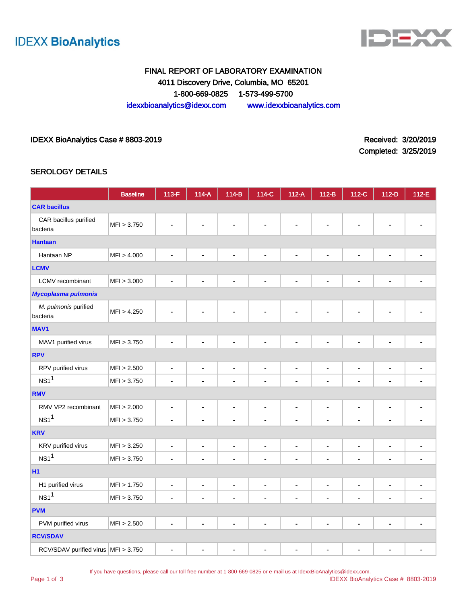



# FINAL REPORT OF LABORATORY EXAMINATION 4011 Discovery Drive, Columbia, MO 65201 1-800-669-0825 1-573-499-5700 idexxbioanalytics@idexx.com www.idexxbioanalytics.com

### IDEXX BioAnalytics Case # 8803-2019 **All and Structure Case 10** and Structure Case 7 and Received: 3/20/2019

Completed: 3/25/2019

### SEROLOGY DETAILS

|                                       | <b>Baseline</b> | 113-F                    | $114-A$                      | $114-B$                      | 114-C          | $112-A$                      | $112-B$        | 112-C          | 112-D                        | 112-E          |
|---------------------------------------|-----------------|--------------------------|------------------------------|------------------------------|----------------|------------------------------|----------------|----------------|------------------------------|----------------|
| <b>CAR bacillus</b>                   |                 |                          |                              |                              |                |                              |                |                |                              |                |
| CAR bacillus purified<br>bacteria     | MFI > 3.750     |                          |                              |                              |                |                              |                | $\blacksquare$ |                              |                |
| <b>Hantaan</b>                        |                 |                          |                              |                              |                |                              |                |                |                              |                |
| Hantaan NP                            | MFI > 4.000     |                          |                              | $\blacksquare$               | $\blacksquare$ | L,                           | $\blacksquare$ | $\overline{a}$ | $\blacksquare$               |                |
| <b>LCMV</b>                           |                 |                          |                              |                              |                |                              |                |                |                              |                |
| LCMV recombinant                      | MFI > 3.000     | ä,                       |                              | $\blacksquare$               | $\blacksquare$ | ÷,                           | ä,             | $\blacksquare$ | L.                           |                |
| <b>Mycoplasma pulmonis</b>            |                 |                          |                              |                              |                |                              |                |                |                              |                |
| M. pulmonis purified<br>bacteria      | MFI > 4.250     |                          |                              |                              |                |                              |                | $\blacksquare$ | $\blacksquare$               |                |
| <b>MAV1</b>                           |                 |                          |                              |                              |                |                              |                |                |                              |                |
| MAV1 purified virus                   | MFI > 3.750     | ä,                       | ۰                            | $\blacksquare$               | $\blacksquare$ | $\blacksquare$               | $\blacksquare$ | $\blacksquare$ | $\blacksquare$               |                |
| <b>RPV</b>                            |                 |                          |                              |                              |                |                              |                |                |                              |                |
| RPV purified virus                    | MFI > 2.500     | $\blacksquare$           | $\qquad \qquad \blacksquare$ | $\qquad \qquad \blacksquare$ | $\blacksquare$ | $\qquad \qquad \blacksquare$ | $\blacksquare$ | $\blacksquare$ | $\blacksquare$               | $\blacksquare$ |
| NS1 <sup>1</sup>                      | MFI > 3.750     | $\overline{a}$           |                              | $\blacksquare$               | $\blacksquare$ | $\qquad \qquad \blacksquare$ | $\blacksquare$ | $\blacksquare$ | $\overline{\phantom{a}}$     |                |
| <b>RMV</b>                            |                 |                          |                              |                              |                |                              |                |                |                              |                |
| RMV VP2 recombinant                   | MFI > 2.000     | $\blacksquare$           | $\blacksquare$               | $\blacksquare$               | $\blacksquare$ | $\blacksquare$               | $\blacksquare$ | $\blacksquare$ | $\blacksquare$               | $\blacksquare$ |
| NS1 <sup>1</sup>                      | MFI > 3.750     | $\overline{\phantom{a}}$ | $\blacksquare$               | $\blacksquare$               | $\blacksquare$ | $\blacksquare$               | ä,             | $\overline{a}$ | $\overline{a}$               | $\blacksquare$ |
| <b>KRV</b>                            |                 |                          |                              |                              |                |                              |                |                |                              |                |
| KRV purified virus                    | MFI > 3.250     | $\blacksquare$           | $\qquad \qquad \blacksquare$ | $\blacksquare$               | $\blacksquare$ | $\blacksquare$               | $\blacksquare$ | $\blacksquare$ | $\blacksquare$               | $\blacksquare$ |
| NS1 <sup>1</sup>                      | MFI > 3.750     | $\blacksquare$           |                              | $\blacksquare$               | $\blacksquare$ | $\qquad \qquad \blacksquare$ | $\blacksquare$ | $\blacksquare$ | $\blacksquare$               |                |
| <b>H1</b>                             |                 |                          |                              |                              |                |                              |                |                |                              |                |
| H1 purified virus                     | MFI > 1.750     | ۰                        | ۰                            | ٠                            | $\blacksquare$ | $\blacksquare$               | $\blacksquare$ | ٠              | ٠                            | ۰              |
| NS1 <sup>1</sup>                      | MFI > 3.750     | ÷,                       | $\blacksquare$               | $\blacksquare$               | $\blacksquare$ | $\blacksquare$               | $\blacksquare$ | $\blacksquare$ | $\qquad \qquad \blacksquare$ |                |
| <b>PVM</b>                            |                 |                          |                              |                              |                |                              |                |                |                              |                |
| PVM purified virus                    | MFI > 2.500     | ä,                       |                              | $\blacksquare$               | $\blacksquare$ | $\blacksquare$               | $\blacksquare$ | $\blacksquare$ | $\blacksquare$               |                |
| <b>RCV/SDAV</b>                       |                 |                          |                              |                              |                |                              |                |                |                              |                |
| RCV/SDAV purified virus   MFI > 3.750 |                 | $\blacksquare$           | -                            | $\blacksquare$               | $\blacksquare$ | $\blacksquare$               | $\blacksquare$ | $\blacksquare$ | $\frac{1}{2}$                | $\blacksquare$ |

If you have questions, please call our toll free number at 1-800-669-0825 or e-mail us at IdexxBioAnalytics@idexx.com.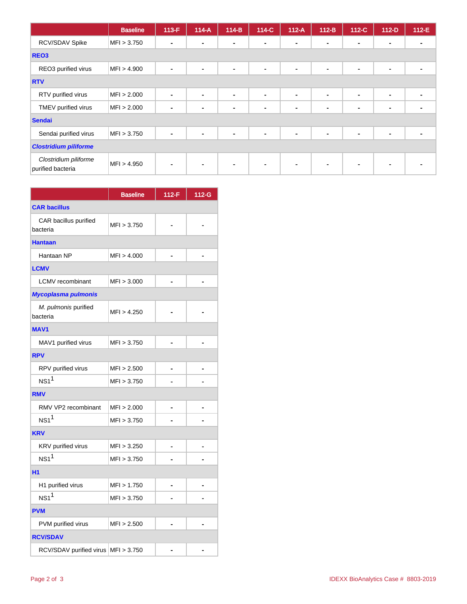|                                            | <b>Baseline</b> | $113-F$                  | $114-A$ | $114-B$        | 114-C          | $112-A$        | $112-B$        | $112-C$        | $112-D$        | 112-E |
|--------------------------------------------|-----------------|--------------------------|---------|----------------|----------------|----------------|----------------|----------------|----------------|-------|
| RCV/SDAV Spike                             | MFI > 3.750     | $\overline{\phantom{0}}$ |         | $\blacksquare$ | $\blacksquare$ | $\sim$         | $\blacksquare$ | $\blacksquare$ | $\blacksquare$ |       |
| REO <sub>3</sub>                           |                 |                          |         |                |                |                |                |                |                |       |
| REO3 purified virus                        | MFI > 4.900     |                          |         | ٠              | $\blacksquare$ | $\blacksquare$ | $\blacksquare$ | $\blacksquare$ | $\blacksquare$ |       |
| <b>RTV</b>                                 |                 |                          |         |                |                |                |                |                |                |       |
| RTV purified virus                         | MFI > 2.000     | ۰                        | ۰       | $\blacksquare$ | $\blacksquare$ | $\blacksquare$ | $\blacksquare$ | $\blacksquare$ | $\blacksquare$ |       |
| TMEV purified virus                        | MFI > 2.000     |                          |         | $\blacksquare$ | $\blacksquare$ | $\blacksquare$ | $\blacksquare$ | $\blacksquare$ | $\blacksquare$ |       |
| Sendai                                     |                 |                          |         |                |                |                |                |                |                |       |
| Sendai purified virus                      | MFI > 3.750     |                          |         | $\blacksquare$ | $\blacksquare$ | $\blacksquare$ | $\blacksquare$ | $\blacksquare$ | $\blacksquare$ |       |
| <b>Clostridium piliforme</b>               |                 |                          |         |                |                |                |                |                |                |       |
| Clostridium piliforme<br>purified bacteria | MFI > 4.950     |                          |         | $\blacksquare$ | $\sim$         | $\sim$         | $\blacksquare$ | $\blacksquare$ | $\blacksquare$ |       |

|                                     | <b>Baseline</b> | $112-F$ | 112-G |
|-------------------------------------|-----------------|---------|-------|
| <b>CAR bacillus</b>                 |                 |         |       |
| CAR bacillus purified<br>bacteria   | MFI > 3.750     |         |       |
| <b>Hantaan</b>                      |                 |         |       |
| Hantaan NP                          | MFI > 4.000     |         |       |
| <b>LCMV</b>                         |                 |         |       |
| <b>LCMV</b> recombinant             | MFI > 3.000     |         |       |
| Mycoplasma pulmonis                 |                 |         |       |
| M. pulmonis purified<br>bacteria    | MFI > 4.250     |         |       |
| <b>MAV1</b>                         |                 |         |       |
| MAV1 purified virus                 | MFI > 3.750     |         |       |
| <b>RPV</b>                          |                 |         |       |
| RPV purified virus                  | MFI > 2.500     |         |       |
| NS1 <sup>1</sup>                    | MFI > 3.750     |         |       |
| <b>RMV</b>                          |                 |         |       |
| RMV VP2 recombinant                 | MFI > 2.000     |         |       |
| NS1 <sup>1</sup>                    | MFI > 3.750     |         |       |
| <b>KRV</b>                          |                 |         |       |
| KRV purified virus                  | MFI > 3.250     |         |       |
| NS1 <sup>1</sup>                    | MFI > 3.750     |         |       |
| H <sub>1</sub>                      |                 |         |       |
| H1 purified virus                   | MFI > 1.750     |         |       |
| NS1 <sup>1</sup>                    | MFI > 3.750     |         |       |
| <b>PVM</b>                          |                 |         |       |
| PVM purified virus                  | MFI > 2.500     |         |       |
| <b>RCV/SDAV</b>                     |                 |         |       |
| RCV/SDAV purified virus MFI > 3.750 |                 |         |       |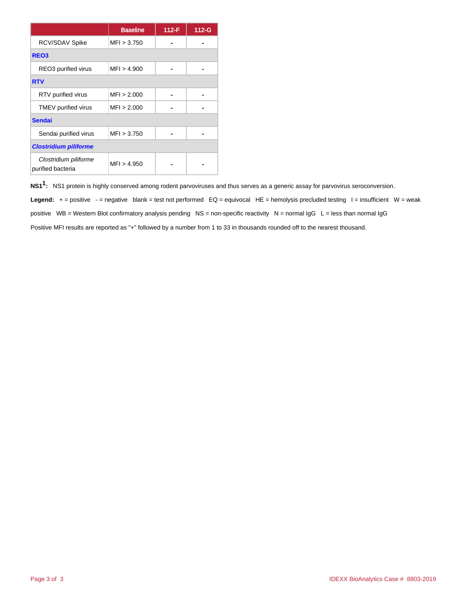|                                            | <b>Baseline</b> | 112-F | $112-G$ |
|--------------------------------------------|-----------------|-------|---------|
| RCV/SDAV Spike                             | MF1 > 3.750     |       |         |
| REO <sub>3</sub>                           |                 |       |         |
| REO3 purified virus                        | MFI > 4.900     |       |         |
| <b>RTV</b>                                 |                 |       |         |
| RTV purified virus                         | MFI > 2.000     |       |         |
| TMEV purified virus                        | MFI > 2.000     |       |         |
| <b>Sendai</b>                              |                 |       |         |
| Sendai purified virus                      | MF1 > 3.750     |       |         |
| <b>Clostridium piliforme</b>               |                 |       |         |
| Clostridium piliforme<br>purified bacteria | MFI > 4.950     |       |         |

**NS11 :** NS1 protein is highly conserved among rodent parvoviruses and thus serves as a generic assay for parvovirus seroconversion.

Legend: + = positive - = negative blank = test not performed EQ = equivocal HE = hemolysis precluded testing I = insufficient W = weak positive WB = Western Blot confirmatory analysis pending NS = non-specific reactivity N = normal IgG L = less than normal IgG Positive MFI results are reported as "+" followed by a number from 1 to 33 in thousands rounded off to the nearest thousand.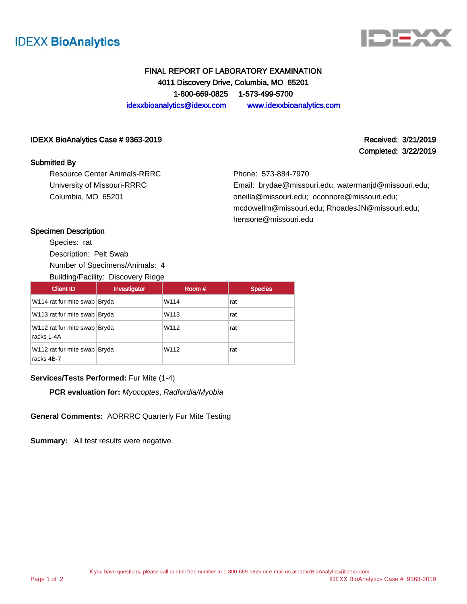



Completed: 3/22/2019

# FINAL REPORT OF LABORATORY EXAMINATION 4011 Discovery Drive, Columbia, MO 65201 1-800-669-0825 1-573-499-5700 idexxbioanalytics@idexx.com www.idexxbioanalytics.com

### IDEXX BioAnalytics Case # 9363-2019 **Received: 3/21/2019** Received: 3/21/2019

### Submitted By

Resource Center Animals-RRRC University of Missouri-RRRC Columbia, MO 65201

Phone: 573-884-7970

Email: brydae@missouri.edu; watermanjd@missouri.edu; oneilla@missouri.edu; oconnore@missouri.edu; mcdowellm@missouri.edu; RhoadesJN@missouri.edu; hensone@missouri.edu

### Specimen Description

Species: rat Description: Pelt Swab Number of Specimens/Animals: 4 Building/Facility: Discovery Ridge

| <b>Client ID</b>                           | Investigator | Room # | <b>Species</b> |
|--------------------------------------------|--------------|--------|----------------|
| W114 rat fur mite swab Bryda               |              | W114   | rat            |
| W113 rat fur mite swab Bryda               |              | W113   | rat            |
| W112 rat fur mite swab Bryda<br>racks 1-4A |              | W112   | rat            |
| W112 rat fur mite swab Bryda<br>racks 4B-7 |              | W112   | rat            |

### **Services/Tests Performed:** Fur Mite (1-4)

**PCR evaluation for:** Myocoptes, Radfordia/Myobia

**General Comments:** AORRRC Quarterly Fur Mite Testing

**Summary:** All test results were negative.